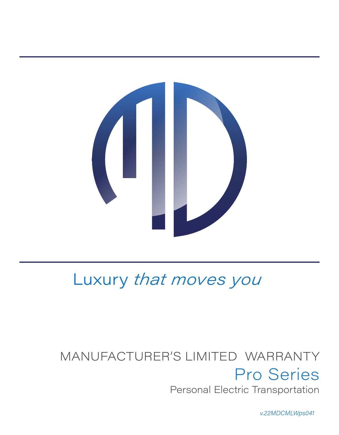

# Luxury that moves you

# MANUFACTURER'S LIMITED WARRANTY Pro Series Personal Electric Transportation

v.22MDCMLWps041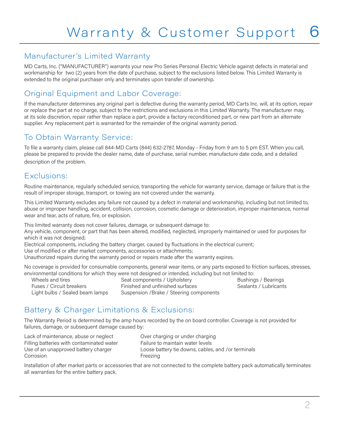#### Manufacturer's Limited Warranty

MD Carts, Inc. ("MANUFACTURER") warrants your new Pro Series Personal Electric Vehicle against defects in material and workmanship for two (2) years from the date of purchase, subject to the exclusions listed below. This Limited Warranty is extended to the original purchaser only and terminates upon transfer of ownership.

# Original Equipment and Labor Coverage:

If the manufacturer determines any original part is defective during the warranty period, MD Carts Inc. will, at its option, repair or replace the part at no charge, subject to the restrictions and exclusions in this Limited Warranty. The manufacturer may, at its sole discretion, repair rather than replace a part, provide a factory reconditioned part, or new part from an alternate supplier. Any replacement part is warranted for the remainder of the original warranty period.

## To Obtain Warranty Service:

To file a warranty claim, please call 844-MD Carts (844) 632-2787, Monday - Friday from 9 am to 5 pm EST. When you call, please be prepared to provide the dealer name, date of purchase, serial number, manufacture date code, and a detailed description of the problem.

#### Exclusions:

Routine maintenance, regularly scheduled service, transporting the vehicle for warranty service, damage or failure that is the result of improper storage, transport, or towing are not covered under the warranty.

This Limited Warranty excludes any failure not caused by a defect in material and workmanship, including but not limited to, abuse or improper handling, accident, collision, corrosion, cosmetic damage or deterioration, improper maintenance, normal wear and tear, acts of nature, fire, or explosion.

This limited warranty does not cover failures, damage, or subsequent damage to:

Any vehicle, component, or part that has been altered, modified, neglected, improperly maintained or used for purposes for which it was not designed:

Electrical components, including the battery charger, caused by fluctuations in the electrical current;

Use of modified or after market components, accessories or attachments;

Unauthorized repairs during the warranty period or repairs made after the warranty expires.

No coverage is provided for consumable components, general wear items, or any parts exposed to friction surfaces, stresses, environmental conditions for which they were not designed or intended, including but not limited to:

Fuses / Circuit breakers Finished and unfinished surfaces

Wheels and tires **Seat components / Upholstery** Bushings / Bearings<br>Seat Circuit breakers **Seat Communished and unfinished surfaces** Sealants / Lubricants Light bulbs / Sealed beam lamps Suspension / Brake / Steering components

# Battery & Charger Limitations & Exclusions:

The Warranty Period is determined by the amp hours recorded by the on board controller. Coverage is not provided for failures, damage, or subsequent damage caused by:

Lack of maintenance, abuse or neglect Over charging or under charging Filling batteries with contaminated water Failure to maintain water levels Corrosion **Freezing** 

Use of an unapproved battery charger Loose battery tie downs, cables, and /or terminals

Installation of after market parts or accessories that are not connected to the complete battery pack automatically terminates all warranties for the entire battery pack.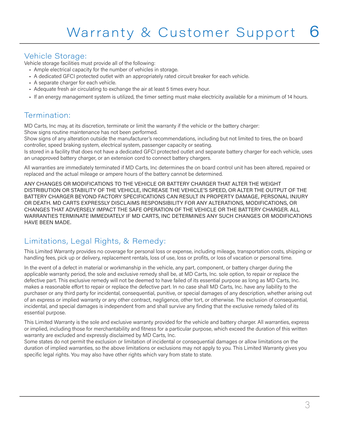#### Vehicle Storage:

Vehicle storage facilities must provide all of the following:

- Ample electrical capacity for the number of vehicles in storage.
- A dedicated GFCI protected outlet with an appropriately rated circuit breaker for each vehicle.
- A separate charger for each vehicle.
- Adequate fresh air circulating to exchange the air at least 5 times every hour.
- If an energy management system is utilized, the timer setting must make electricity available for a minimum of 14 hours.

#### Termination:

MD Carts, Inc may, at its discretion, terminate or limit the warranty if the vehicle or the battery charger: Show signs routine maintenance has not been performed.

Show signs of any alteration outside the manufacturer's recommendations, including but not limited to tires, the on board controller, speed braking system, electrical system, passenger capacity or seating.

Is stored in a facility that does not have a dedicated GFCI protected outlet and separate battery charger for each vehicle, uses an unapproved battery charger, or an extension cord to connect battery chargers.

All warranties are immediately terminated if MD Carts, Inc determines the on board control unit has been altered, repaired or replaced and the actual mileage or ampere hours of the battery cannot be determined.

ANY CHANGES OR MODIFICATIONS TO THE VEHICLE OR BATTERY CHARGER THAT ALTER THE WEIGHT DISTRIBUTION OR STABILITY OF THE VEHICLE, INCREASE THE VEHICLE'S SPEED, OR ALTER THE OUTPUT OF THE BATTERY CHARGER BEYOND FACTORY SPECIFICATIONS CAN RESULT IN PROPERTY DAMAGE, PERSONAL INJURY OR DEATH. MD CARTS EXPRESSLY DISCLAIMS RESPONSIBILITY FOR ANY ALTERATIONS, MODIFICATIONS, OR CHANGES THAT ADVERSELY IMPACT THE SAFE OPERATION OF THE VEHICLE OR THE BATTERY CHARGER. ALL WARRANTIES TERMINATE IMMEDIATELY IF MD CARTS, INC DETERMINES ANY SUCH CHANGES OR MODIFICATIONS HAVE BEEN MADE.

## Limitations, Legal Rights, & Remedy:

This Limited Warranty provides no coverage for personal loss or expense, including mileage, transportation costs, shipping or handling fees, pick up or delivery, replacement rentals, loss of use, loss or profits, or loss of vacation or personal time.

In the event of a defect in material or workmanship in the vehicle, any part, component, or battery charger during the applicable warranty period, the sole and exclusive remedy shall be, at MD Carts, Inc. sole option, to repair or replace the defective part. This exclusive remedy will not be deemed to have failed of its essential purpose as long as MD Carts, Inc. makes a reasonable effort to repair or replace the defective part. In no case shall MD Carts, Inc. have any liability to the purchaser or any third party for incidental, consequential, punitive, or special damages of any description, whether arising out of an express or implied warranty or any other contract, negligence, other tort, or otherwise. The exclusion of consequential, incidental, and special damages is independent from and shall survive any finding that the exclusive remedy failed of its essential purpose.

This Limited Warranty is the sole and exclusive warranty provided for the vehicle and battery charger. All warranties, express or implied, including those for merchantability and fitness for a particular purpose, which exceed the duration of this written warranty are excluded and expressly disclaimed by MD Carts, Inc.

Some states do not permit the exclusion or limitation of incidental or consequential damages or allow limitations on the duration of implied warranties, so the above limitations or exclusions may not apply to you. This Limited Warranty gives you specific legal rights. You may also have other rights which vary from state to state.